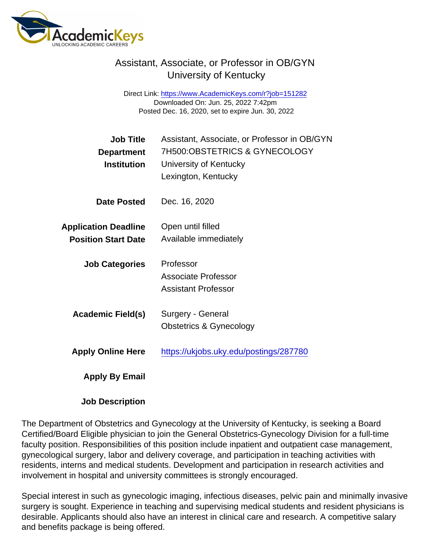## Assistant, Associate, or Professor in OB/GYN University of Kentucky

Direct Link: <https://www.AcademicKeys.com/r?job=151282> Downloaded On: Jun. 25, 2022 7:42pm Posted Dec. 16, 2020, set to expire Jun. 30, 2022

| <b>Job Title</b><br>Department<br>Institution | Assistant, Associate, or Professor in OB/GYN<br>7H500:OBSTETRICS & GYNECOLOGY<br>University of Kentucky<br>Lexington, Kentucky |
|-----------------------------------------------|--------------------------------------------------------------------------------------------------------------------------------|
| Date Posted                                   | Dec. 16, 2020                                                                                                                  |
| <b>Application Deadline</b>                   | Open until filled                                                                                                              |
| <b>Position Start Date</b>                    | Available immediately                                                                                                          |
| <b>Job Categories</b>                         | Professor                                                                                                                      |
|                                               | Associate Professor                                                                                                            |
|                                               | <b>Assistant Professor</b>                                                                                                     |
| Academic Field(s)                             | Surgery - General                                                                                                              |
|                                               | Obstetrics & Gynecology                                                                                                        |
| <b>Apply Online Here</b>                      | https://ukjobs.uky.edu/postings/287780                                                                                         |
| Apply By Email                                |                                                                                                                                |

Job Description

The Department of Obstetrics and Gynecology at the University of Kentucky, is seeking a Board Certified/Board Eligible physician to join the General Obstetrics-Gynecology Division for a full-time faculty position. Responsibilities of this position include inpatient and outpatient case management, gynecological surgery, labor and delivery coverage, and participation in teaching activities with residents, interns and medical students. Development and participation in research activities and involvement in hospital and university committees is strongly encouraged.

Special interest in such as gynecologic imaging, infectious diseases, pelvic pain and minimally invasive surgery is sought. Experience in teaching and supervising medical students and resident physicians is desirable. Applicants should also have an interest in clinical care and research. A competitive salary and benefits package is being offered.